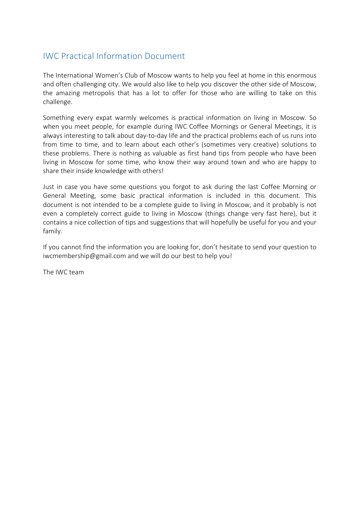## IWC Practical Information Document

The International Women's Club of Moscow wants to help you feel at home in this enormous and often challenging city. We would also like to help you discover the other side of Moscow, the amazing metropolis that has a lot to offer for those who are willing to take on this challenge.

Something every expat warmly welcomes is practical information on living in Moscow. So when you meet people, for example during IWC Coffee Mornings or General Meetings, it is always interesting to talk about day-to-day life and the practical problems each of us runs into from time to time, and to learn about each other's (sometimes very creative) solutions to these problems. There is nothing as valuable as first hand tips from people who have been living in Moscow for some time, who know their way around town and who are happy to share their inside knowledge with others!

Just in case you have some questions you forgot to ask during the last Coffee Morning or General Meeting, some basic practical information is included in this document. This document is not intended to be a complete guide to living in Moscow, and it probably is not even a completely correct guide to living in Moscow (things change very fast here), but it contains a nice collection of tips and suggestions that will hopefully be useful for you and your family.

If you cannot find the information you are looking for, don't hesitate to send your question to iwcmembership@gmail.com and we will do our best to help you!

The IWC team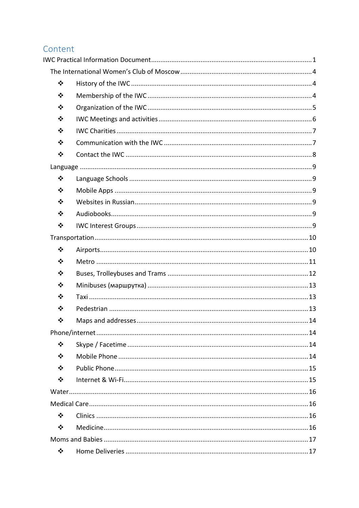# Content

| $\bullet^{\bullet}_{\bullet} \bullet$ |  |
|---------------------------------------|--|
| ❖                                     |  |
| ❖                                     |  |
| $\bullet^{\bullet}_{\bullet} \bullet$ |  |
| $\frac{1}{2}$                         |  |
| $\bullet^{\bullet}_{\bullet} \bullet$ |  |
| $\bullet \bullet$                     |  |
|                                       |  |
| $\bullet^{\bullet}_{\bullet} \bullet$ |  |
| ❖                                     |  |
| ❖                                     |  |
| $\bullet^{\bullet}_{\bullet} \bullet$ |  |
| $\bullet^{\bullet}_{\bullet} \bullet$ |  |
|                                       |  |
| ❖                                     |  |
| ❖                                     |  |
| ❖                                     |  |
| $\bullet^{\bullet}_{\bullet} \bullet$ |  |
| ❖                                     |  |
| ❖                                     |  |
| ❖                                     |  |
|                                       |  |
| ❖                                     |  |
| ❖                                     |  |
| ❖                                     |  |
| ❖                                     |  |
|                                       |  |
|                                       |  |
| ❖                                     |  |
| ❖                                     |  |
|                                       |  |
| ❖                                     |  |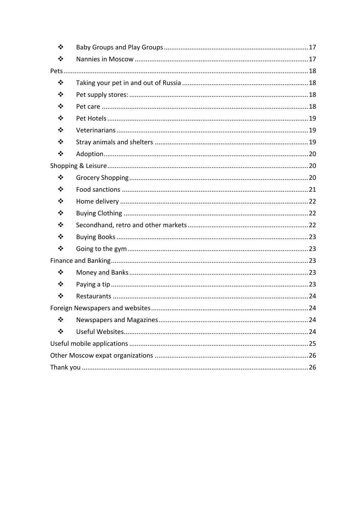| $\frac{1}{2}$                         |  |  |
|---------------------------------------|--|--|
| ❖                                     |  |  |
|                                       |  |  |
| ❖                                     |  |  |
| ❖                                     |  |  |
| ❖                                     |  |  |
| ❖                                     |  |  |
| ❖                                     |  |  |
| ❖                                     |  |  |
| $\bullet^{\bullet}_{\bullet} \bullet$ |  |  |
|                                       |  |  |
| ❖                                     |  |  |
| ❖                                     |  |  |
| ❖                                     |  |  |
| ❖                                     |  |  |
| ❖                                     |  |  |
| ❖                                     |  |  |
| ❖                                     |  |  |
|                                       |  |  |
| ❖                                     |  |  |
| ❖                                     |  |  |
| ❖                                     |  |  |
|                                       |  |  |
| ❖                                     |  |  |
| ❖                                     |  |  |
|                                       |  |  |
|                                       |  |  |
|                                       |  |  |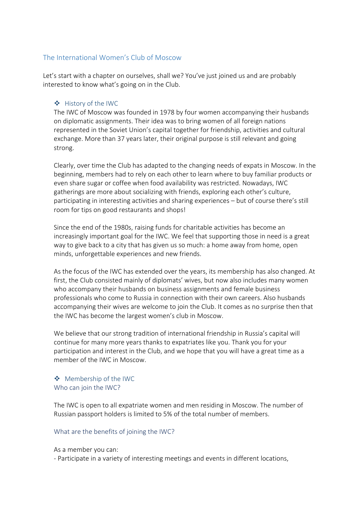## The International Women's Club of Moscow

Let's start with a chapter on ourselves, shall we? You've just joined us and are probably interested to know what's going on in the Club.

## v History of the IWC

The IWC of Moscow was founded in 1978 by four women accompanying their husbands on diplomatic assignments. Their idea was to bring women of all foreign nations represented in the Soviet Union's capital together for friendship, activities and cultural exchange. More than 37 years later, their original purpose is still relevant and going strong.

Clearly, over time the Club has adapted to the changing needs of expats in Moscow. In the beginning, members had to rely on each other to learn where to buy familiar products or even share sugar or coffee when food availability was restricted. Nowadays, IWC gatherings are more about socializing with friends, exploring each other's culture, participating in interesting activities and sharing experiences – but of course there's still room for tips on good restaurants and shops!

Since the end of the 1980s, raising funds for charitable activities has become an increasingly important goal for the IWC. We feel that supporting those in need is a great way to give back to a city that has given us so much: a home away from home, open minds, unforgettable experiences and new friends.

As the focus of the IWC has extended over the years, its membership has also changed. At first, the Club consisted mainly of diplomats' wives, but now also includes many women who accompany their husbands on business assignments and female business professionals who come to Russia in connection with their own careers. Also husbands accompanying their wives are welcome to join the Club. It comes as no surprise then that the IWC has become the largest women's club in Moscow.

We believe that our strong tradition of international friendship in Russia's capital will continue for many more years thanks to expatriates like you. Thank you for your participation and interest in the Club, and we hope that you will have a great time as a member of the IWC in Moscow.

## ◆ Membership of the IWC Who can join the IWC?

The IWC is open to all expatriate women and men residing in Moscow. The number of Russian passport holders is limited to 5% of the total number of members.

#### What are the benefits of joining the IWC?

As a member you can:

- Participate in a variety of interesting meetings and events in different locations,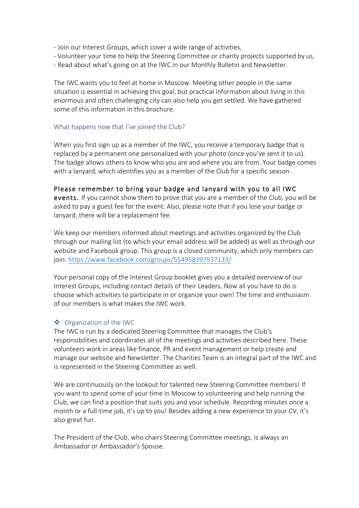- Join our Interest Groups, which cover a wide range of activities,
- Volunteer your time to help the Steering Committee or charity projects supported by us,
- Read about what's going on at the IWC in our Monthly Bulletin and Newsletter.

The IWC wants you to feel at home in Moscow. Meeting other people in the same situation is essential in achieving this goal, but practical information about living in this enormous and often challenging city can also help you get settled. We have gathered some of this information in this brochure.

#### What happens now that I've joined the Club?

When you first sign up as a member of the IWC, you receive a temporary badge that is replaced by a permanent one personalized with your photo (once you've sent it to us). The badge allows others to know who you are and where you are from. Your badge comes with a lanyard, which identifies you as a member of the Club for a specific season.

#### Please remember to bring your badge and lanyard with you to all IWC

events. If you cannot show them to prove that you are a member of the Club, you will be asked to pay a guest fee for the event. Also, please note that if you lose your badge or lanyard, there will be a replacement fee.

We keep our members informed about meetings and activities organized by the Club through our mailing list (to which your email address will be added) as well as through our website and Facebook group. This group is a closed community, which only members can join: https://www.facebook.com/groups/554958397937133/

Your personal copy of the Interest Group booklet gives you a detailed overview of our Interest Groups, including contact details of their Leaders. Now all you have to do is choose which activities to participate in or organize your own! The time and enthusiasm of our members is what makes the IWC work.

## v Organization of the IWC

The IWC is run by a dedicated Steering Committee that manages the Club's responsibilities and coordinates all of the meetings and activities described here. These volunteers work in areas like finance, PR and event management or help create and manage our website and Newsletter. The Charities Team is an integral part of the IWC and is represented in the Steering Committee as well.

We are continuously on the lookout for talented new Steering Committee members! If you want to spend some of your time in Moscow to volunteering and help running the Club, we can find a position that suits you and your schedule. Recording minutes once a month or a full-time job, it's up to you! Besides adding a new experience to your CV, it's also great fun.

The President of the Club, who chairs Steering Committee meetings, is always an Ambassador or Ambassador's Spouse.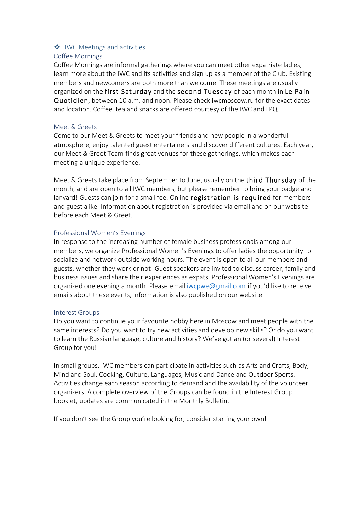#### $\cdot$  IWC Meetings and activities Coffee Mornings

Coffee Mornings are informal gatherings where you can meet other expatriate ladies, learn more about the IWC and its activities and sign up as a member of the Club. Existing members and newcomers are both more than welcome. These meetings are usually organized on the first Saturday and the second Tuesday of each month in Le Pain Quotidien, between 10 a.m. and noon. Please check iwcmoscow.ru for the exact dates and location. Coffee, tea and snacks are offered courtesy of the IWC and LPQ.

## Meet & Greets

Come to our Meet & Greets to meet your friends and new people in a wonderful atmosphere, enjoy talented guest entertainers and discover different cultures. Each year, our Meet & Greet Team finds great venues for these gatherings, which makes each meeting a unique experience.

Meet & Greets take place from September to June, usually on the third Thursday of the month, and are open to all IWC members, but please remember to bring your badge and lanyard! Guests can join for a small fee. Online registration is required for members and guest alike. Information about registration is provided via email and on our website before each Meet & Greet.

## Professional Women's Evenings

In response to the increasing number of female business professionals among our members, we organize Professional Women's Evenings to offer ladies the opportunity to socialize and network outside working hours. The event is open to all our members and guests, whether they work or not! Guest speakers are invited to discuss career, family and business issues and share their experiences as expats. Professional Women's Evenings are organized one evening a month. Please email iwcpwe@gmail.com if you'd like to receive emails about these events, information is also published on our website.

#### Interest Groups

Do you want to continue your favourite hobby here in Moscow and meet people with the same interests? Do you want to try new activities and develop new skills? Or do you want to learn the Russian language, culture and history? We've got an (or several) Interest Group for you!

In small groups, IWC members can participate in activities such as Arts and Crafts, Body, Mind and Soul, Cooking, Culture, Languages, Music and Dance and Outdoor Sports. Activities change each season according to demand and the availability of the volunteer organizers. A complete overview of the Groups can be found in the Interest Group booklet, updates are communicated in the Monthly Bulletin.

If you don't see the Group you're looking for, consider starting your own!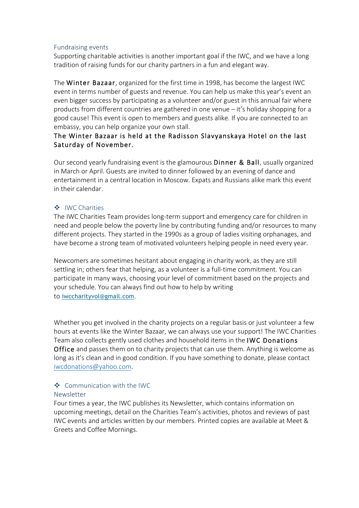#### Fundraising events

Supporting charitable activities is another important goal if the IWC, and we have a long tradition of raising funds for our charity partners in a fun and elegant way.

The Winter Bazaar, organized for the first time in 1998, has become the largest IWC event in terms number of guests and revenue. You can help us make this year's event an even bigger success by participating as a volunteer and/or guest in this annual fair where products from different countries are gathered in one venue – it's holiday shopping for a good cause! This event is open to members and guests alike. If you are connected to an embassy, you can help organize your own stall.

## The Winter Bazaar is held at the Radisson Slavyanskaya Hotel on the last Saturday of November.

Our second yearly fundraising event is the glamourous Dinner & Ball, usually organized in March or April. Guests are invited to dinner followed by an evening of dance and entertainment in a central location in Moscow. Expats and Russians alike mark this event in their calendar.

#### ◆ IWC Charities

The IWC Charities Team provides long-term support and emergency care for children in need and people below the poverty line by contributing funding and/or resources to many different projects. They started in the 1990s as a group of ladies visiting orphanages, and have become a strong team of motivated volunteers helping people in need every year.

Newcomers are sometimes hesitant about engaging in charity work, as they are still settling in; others fear that helping, as a volunteer is a full-time commitment. You can participate in many ways, choosing your level of commitment based on the projects and your schedule. You can always find out how to help by writing to iwccharityvol@gmail.com.

Whether you get involved in the charity projects on a regular basis or just volunteer a few hours at events like the Winter Bazaar, we can always use your support! The IWC Charities Team also collects gently used clothes and household items in the IWC Donations Office and passes them on to charity projects that can use them. Anything is welcome as long as it's clean and in good condition. If you have something to donate, please contact iwcdonations@yahoo.com.

#### v Communication with the IWC Newsletter

Four times a year, the IWC publishes its Newsletter, which contains information on upcoming meetings, detail on the Charities Team's activities, photos and reviews of past IWC events and articles written by our members. Printed copies are available at Meet & Greets and Coffee Mornings.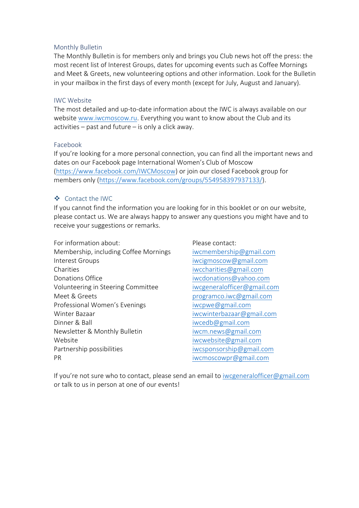#### Monthly Bulletin

The Monthly Bulletin is for members only and brings you Club news hot off the press: the most recent list of Interest Groups, dates for upcoming events such as Coffee Mornings and Meet & Greets, new volunteering options and other information. Look for the Bulletin in your mailbox in the first days of every month (except for July, August and January).

#### IWC Website

The most detailed and up-to-date information about the IWC is always available on our website www.iwcmoscow.ru. Everything you want to know about the Club and its activities  $-$  past and future  $-$  is only a click away.

#### Facebook

If you're looking for a more personal connection, you can find all the important news and dates on our Facebook page International Women's Club of Moscow (https://www.facebook.com/IWCMoscow) or join our closed Facebook group for members only (https://www.facebook.com/groups/554958397937133/).

#### v Contact the IWC

If you cannot find the information you are looking for in this booklet or on our website, please contact us. We are always happy to answer any questions you might have and to receive your suggestions or remarks.

- For information about: Please contact: Membership, including Coffee Mornings iwcmembership@gmail.com Interest Groups interest Groups interest Groups in the state of the state of the state of the state of the state of the state of the state of the state of the state of the state of the state of the state of the state of th Charities iwccharities@gmail.com Donations Office interests in the interest of the interest of the interest of the interest of the interest of the interest of the interest of the interest of the interest of the interest of the interest of the interest of Volunteering in Steering Committee iwcgeneralofficer@gmail.com Meet & Greets programco.iwc@gmail.com Professional Women's Evenings in the imaginal or iwcpwe@gmail.com Winter Bazaar is a state of the state of the iwcwinterbazaar@gmail.com Dinner & Ball in the state of the state of the state of the state of the state of the state of the state of the state of the state of the state of the state of the state of the state of the state of the state of the state Newsletter & Monthly Bulletin in the iwcm.news@gmail.com Website iwcwebsite@gmail.com Partnership possibilities intervals in the subset of the set of the property intervals and property part of the part of the part of the part of the part of the part of the part of the part of the part of the part of the pa PR iwcmoscowpr@gmail.com
	-

If you're not sure who to contact, please send an email to iwcgeneralofficer@gmail.com or talk to us in person at one of our events!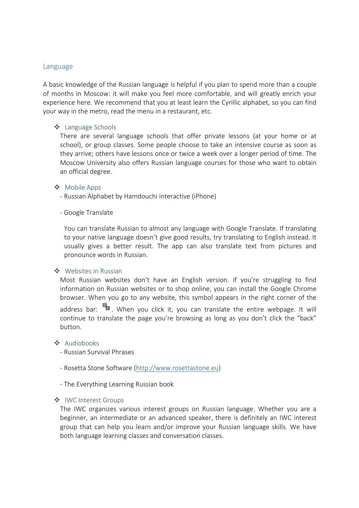#### Language

A basic knowledge of the Russian language is helpful if you plan to spend more than a couple of months in Moscow: it will make you feel more comfortable, and will greatly enrich your experience here. We recommend that you at least learn the Cyrillic alphabet, so you can find your way in the metro, read the menu in a restaurant, etc.

#### ❖ Language Schools

There are several language schools that offer private lessons (at your home or at school), or group classes. Some people choose to take an intensive course as soon as they arrive; others have lessons once or twice a week over a longer period of time. The Moscow University also offers Russian language courses for those who want to obtain an official degree.

#### ❖ Mobile Apps

- Russian Alphabet by Hamdouchi Interactive (iPhone)

#### - Google Translate

You can translate Russian to almost any language with Google Translate. If translating to your native language doesn't give good results, try translating to English instead. It usually gives a better result. The app can also translate text from pictures and pronounce words in Russian.

#### $\bullet$  Websites in Russian

Most Russian websites don't have an English version. If you're struggling to find information on Russian websites or to shop online, you can install the Google Chrome browser. When you go to any website, this symbol appears in the right corner of the address bar:  $\mathbb{R}$ , When you click it, you can translate the entire webpage. It will continue to translate the page you're browsing as long as you don't click the "back" button.

#### ❖ Audiobooks

- Russian Survival Phrases
- Rosetta Stone Software (http://www.rosettastone.eu)
- The Everything Learning Russian book

#### ◆ IWC Interest Groups

The IWC organizes various interest groups on Russian language. Whether you are a beginner, an intermediate or an advanced speaker, there is definitely an IWC interest group that can help you learn and/or improve your Russian language skills. We have both language learning classes and conversation classes.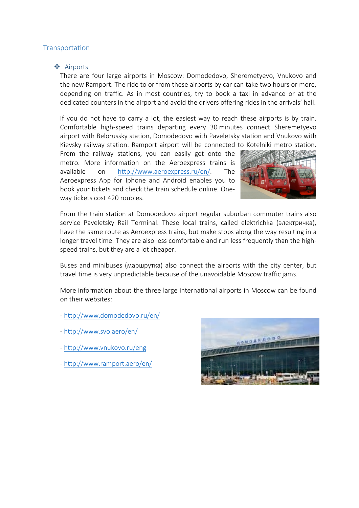## **Transportation**

#### ❖ Airports

There are four large airports in Moscow: Domodedovo, Sheremetyevo, Vnukovo and the new Ramport. The ride to or from these airports by car can take two hours or more, depending on traffic. As in most countries, try to book a taxi in advance or at the dedicated counters in the airport and avoid the drivers offering rides in the arrivals' hall.

If you do not have to carry a lot, the easiest way to reach these airports is by train. Comfortable high-speed trains departing every 30 minutes connect Sheremetyevo airport with Belorussky station, Domodedovo with Paveletsky station and Vnukovo with Kievsky railway station. Ramport airport will be connected to Kotelniki metro station.

From the railway stations, you can easily get onto the metro. More information on the Aeroexpress trains is available on http://www.aeroexpress.ru/en/. The Aeroexpress App for Iphone and Android enables you to book your tickets and check the train schedule online. Oneway tickets cost 420 roubles.



From the train station at Domodedovo airport regular suburban commuter trains also service Paveletsky Rail Terminal. These local trains, called elektrichka (электричка), have the same route as Aeroexpress trains, but make stops along the way resulting in a longer travel time. They are also less comfortable and run less frequently than the highspeed trains, but they are a lot cheaper.

Buses and minibuses (маршрутка) also connect the airports with the city center, but travel time is very unpredictable because of the unavoidable Moscow traffic jams.

More information about the three large international airports in Moscow can be found on their websites:

- http://www.domodedovo.ru/en/
- http://www.svo.aero/en/
- http://www.vnukovo.ru/eng
- http://www.ramport.aero/en/

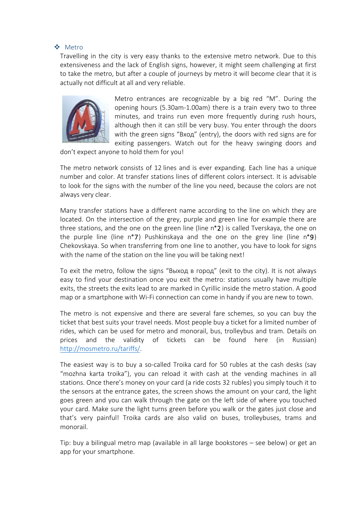#### v Metro

Travelling in the city is very easy thanks to the extensive metro network. Due to this extensiveness and the lack of English signs, however, it might seem challenging at first to take the metro, but after a couple of journeys by metro it will become clear that it is actually not difficult at all and very reliable.



Metro entrances are recognizable by a big red "М". During the opening hours (5.30am-1.00am) there is a train every two to three minutes, and trains run even more frequently during rush hours, although then it can still be very busy. You enter through the doors with the green signs "Вход" (entry), the doors with red signs are for exiting passengers. Watch out for the heavy swinging doors and

don't expect anyone to hold them for you!

The metro network consists of 12 lines and is ever expanding. Each line has a unique number and color. At transfer stations lines of different colors intersect. It is advisable to look for the signs with the number of the line you need, because the colors are not always very clear.

Many transfer stations have a different name according to the line on which they are located. On the intersection of the grey, purple and green line for example there are three stations, and the one on the green line (line n°2) is called Tverskaya, the one on the purple line (line  $n^{\circ}$ 7) Pushkinskaya and the one on the grey line (line  $n^{\circ}$ 9) Chekovskaya. So when transferring from one line to another, you have to look for signs with the name of the station on the line you will be taking next!

To exit the metro, follow the signs "Выход в город" (exit to the city). It is not always easy to find your destination once you exit the metro: stations usually have multiple exits, the streets the exits lead to are marked in Cyrillic inside the metro station. A good map or a smartphone with Wi-Fi connection can come in handy if you are new to town.

The metro is not expensive and there are several fare schemes, so you can buy the ticket that best suits your travel needs. Most people buy a ticket for a limited number of rides, which can be used for metro and monorail, bus, trolleybus and tram. Details on prices and the validity of tickets can be found here (in Russian) http://mosmetro.ru/tariffs/.

The easiest way is to buy a so-called Troika card for 50 rubles at the cash desks (say "mozhna karta troika"), you can reload it with cash at the vending machines in all stations. Once there's money on your card (a ride costs 32 rubles) you simply touch it to the sensors at the entrance gates, the screen shows the amount on your card, the light goes green and you can walk through the gate on the left side of where you touched your card. Make sure the light turns green before you walk or the gates just close and that's very painful! Troika cards are also valid on buses, trolleybuses, trams and monorail.

Tip: buy a bilingual metro map (available in all large bookstores – see below) or get an app for your smartphone.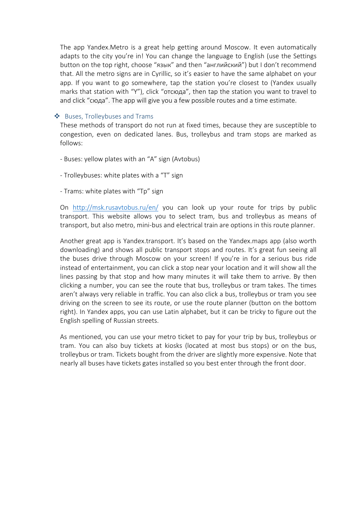The app Yandex.Metro is a great help getting around Moscow. It even automatically adapts to the city you're in! You can change the language to English (use the Settings button on the top right, choose "язык" and then "английский") but I don't recommend that. All the metro signs are in Cyrillic, so it's easier to have the same alphabet on your app. If you want to go somewhere, tap the station you're closest to (Yandex usually marks that station with "Y"), click "отсюда", then tap the station you want to travel to and click "сюда". The app will give you a few possible routes and a time estimate.

#### ❖ Buses, Trolleybuses and Trams

These methods of transport do not run at fixed times, because they are susceptible to congestion, even on dedicated lanes. Bus, trolleybus and tram stops are marked as follows:

- Buses: yellow plates with an "A" sign (Avtobus)
- Trolleybuses: white plates with a "T" sign
- Trams: white plates with "Tp" sign

On http://msk.rusavtobus.ru/en/ you can look up your route for trips by public transport. This website allows you to select tram, bus and trolleybus as means of transport, but also metro, mini-bus and electrical train are options in this route planner.

Another great app is Yandex.transport. It's based on the Yandex.maps app (also worth downloading) and shows all public transport stops and routes. It's great fun seeing all the buses drive through Moscow on your screen! If you're in for a serious bus ride instead of entertainment, you can click a stop near your location and it will show all the lines passing by that stop and how many minutes it will take them to arrive. By then clicking a number, you can see the route that bus, trolleybus or tram takes. The times aren't always very reliable in traffic. You can also click a bus, trolleybus or tram you see driving on the screen to see its route, or use the route planner (button on the bottom right). In Yandex apps, you can use Latin alphabet, but it can be tricky to figure out the English spelling of Russian streets.

As mentioned, you can use your metro ticket to pay for your trip by bus, trolleybus or tram. You can also buy tickets at kiosks (located at most bus stops) or on the bus, trolleybus or tram. Tickets bought from the driver are slightly more expensive. Note that nearly all buses have tickets gates installed so you best enter through the front door.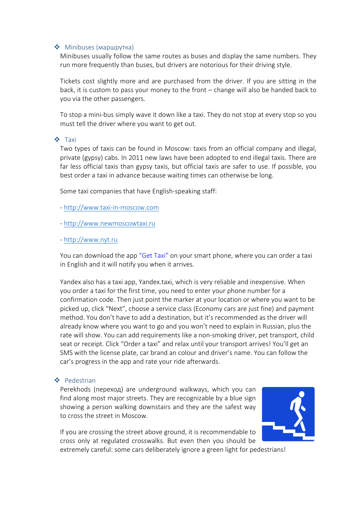#### • Minibuses (маршрутка)

Minibuses usually follow the same routes as buses and display the same numbers. They run more frequently than buses, but drivers are notorious for their driving style.

Tickets cost slightly more and are purchased from the driver. If you are sitting in the back, it is custom to pass your money to the front – change will also be handed back to you via the other passengers.

To stop a mini-bus simply wave it down like a taxi. They do not stop at every stop so you must tell the driver where you want to get out.

#### v Taxi

Two types of taxis can be found in Moscow: taxis from an official company and illegal, private (gypsy) cabs. In 2011 new laws have been adopted to end illegal taxis. There are far less official taxis than gypsy taxis, but official taxis are safer to use. If possible, you best order a taxi in advance because waiting times can otherwise be long.

Some taxi companies that have English-speaking staff:

- http://www.taxi-in-moscow.com

- http://www.newmoscowtaxi.ru

#### - http://www.nyt.ru

You can download the app "Get Taxi" on your smart phone, where you can order a taxi in English and it will notify you when it arrives.

Yandex also has a taxi app, Yandex.taxi, which is very reliable and inexpensive. When you order a taxi for the first time, you need to enter your phone number for a confirmation code. Then just point the marker at your location or where you want to be picked up, click "Next", choose a service class (Economy cars are just fine) and payment method. You don't have to add a destination, but it's recommended as the driver will already know where you want to go and you won't need to explain in Russian, plus the rate will show. You can add requirements like a non-smoking driver, pet transport, child seat or receipt. Click "Order a taxi" and relax until your transport arrives! You'll get an SMS with the license plate, car brand an colour and driver's name. You can follow the car's progress in the app and rate your ride afterwards.

#### v Pedestrian

Perekhods (переход) are underground walkways, which you can find along most major streets. They are recognizable by a blue sign showing a person walking downstairs and they are the safest way to cross the street in Moscow.

If you are crossing the street above ground, it is recommendable to cross only at regulated crosswalks. But even then you should be



extremely careful: some cars deliberately ignore a green light for pedestrians!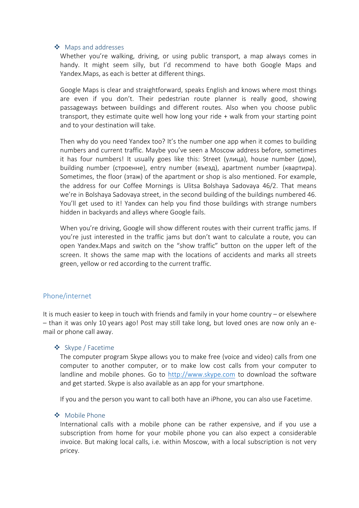#### ❖ Maps and addresses

Whether you're walking, driving, or using public transport, a map always comes in handy. It might seem silly, but I'd recommend to have both Google Maps and Yandex.Maps, as each is better at different things.

Google Maps is clear and straightforward, speaks English and knows where most things are even if you don't. Their pedestrian route planner is really good, showing passageways between buildings and different routes. Also when you choose public transport, they estimate quite well how long your ride + walk from your starting point and to your destination will take.

Then why do you need Yandex too? It's the number one app when it comes to building numbers and current traffic. Maybe you've seen a Moscow address before, sometimes it has four numbers! It usually goes like this: Street (улица), house number (дом), building number (строенне), entry number (въезд), apartment number (квартира). Sometimes, the floor (этаж) of the apartment or shop is also mentioned. For example, the address for our Coffee Mornings is Ulitsa Bolshaya Sadovaya 46/2. That means we're in Bolshaya Sadovaya street, in the second building of the buildings numbered 46. You'll get used to it! Yandex can help you find those buildings with strange numbers hidden in backyards and alleys where Google fails.

When you're driving, Google will show different routes with their current traffic jams. If you're just interested in the traffic jams but don't want to calculate a route, you can open Yandex.Maps and switch on the "show traffic" button on the upper left of the screen. It shows the same map with the locations of accidents and marks all streets green, yellow or red according to the current traffic.

#### Phone/internet

It is much easier to keep in touch with friends and family in your home country – or elsewhere – than it was only 10 years ago! Post may still take long, but loved ones are now only an email or phone call away.

#### v Skype / Facetime

The computer program Skype allows you to make free (voice and video) calls from one computer to another computer, or to make low cost calls from your computer to landline and mobile phones. Go to http://www.skype.com to download the software and get started. Skype is also available as an app for your smartphone.

If you and the person you want to call both have an iPhone, you can also use Facetime.

#### ❖ Mobile Phone

International calls with a mobile phone can be rather expensive, and if you use a subscription from home for your mobile phone you can also expect a considerable invoice. But making local calls, i.e. within Moscow, with a local subscription is not very pricey.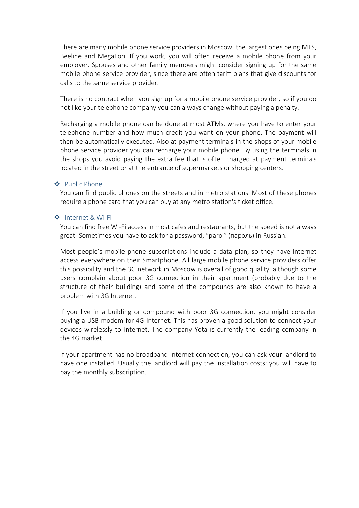There are many mobile phone service providers in Moscow, the largest ones being MTS, Beeline and MegaFon. If you work, you will often receive a mobile phone from your employer. Spouses and other family members might consider signing up for the same mobile phone service provider, since there are often tariff plans that give discounts for calls to the same service provider.

There is no contract when you sign up for a mobile phone service provider, so if you do not like your telephone company you can always change without paying a penalty.

Recharging a mobile phone can be done at most ATMs, where you have to enter your telephone number and how much credit you want on your phone. The payment will then be automatically executed. Also at payment terminals in the shops of your mobile phone service provider you can recharge your mobile phone. By using the terminals in the shops you avoid paying the extra fee that is often charged at payment terminals located in the street or at the entrance of supermarkets or shopping centers.

#### ◆ Public Phone

You can find public phones on the streets and in metro stations. Most of these phones require a phone card that you can buy at any metro station's ticket office.

#### v Internet & Wi-Fi

You can find free Wi-Fi access in most cafes and restaurants, but the speed is not always great. Sometimes you have to ask for a password, "parol" (пароль) in Russian.

Most people's mobile phone subscriptions include a data plan, so they have Internet access everywhere on their Smartphone. All large mobile phone service providers offer this possibility and the 3G network in Moscow is overall of good quality, although some users complain about poor 3G connection in their apartment (probably due to the structure of their building) and some of the compounds are also known to have a problem with 3G Internet.

If you live in a building or compound with poor 3G connection, you might consider buying a USB modem for 4G Internet. This has proven a good solution to connect your devices wirelessly to Internet. The company Yota is currently the leading company in the 4G market.

If your apartment has no broadband Internet connection, you can ask your landlord to have one installed. Usually the landlord will pay the installation costs; you will have to pay the monthly subscription.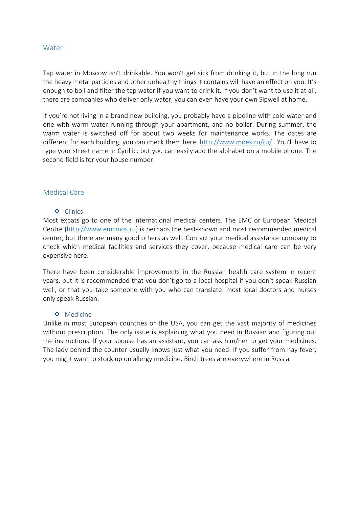#### Water

Tap water in Moscow isn't drinkable. You won't get sick from drinking it, but in the long run the heavy metal particles and other unhealthy things it contains will have an effect on you. It's enough to boil and filter the tap water if you want to drink it. If you don't want to use it at all, there are companies who deliver only water, you can even have your own Sipwell at home.

If you're not living in a brand new building, you probably have a pipeline with cold water and one with warm water running through your apartment, and no boiler. During summer, the warm water is switched off for about two weeks for maintenance works. The dates are different for each building, you can check them here: http://www.moek.ru/ru/ . You'll have to type your street name in Cyrillic, but you can easily add the alphabet on a mobile phone. The second field is for your house number.

#### Medical Care

#### v Clinics

Most expats go to one of the international medical centers. The EMC or European Medical Centre (http://www.emcmos.ru) is perhaps the best-known and most recommended medical center, but there are many good others as well. Contact your medical assistance company to check which medical facilities and services they cover, because medical care can be very expensive here.

There have been considerable improvements in the Russian health care system in recent years, but it is recommended that you don't go to a local hospital if you don't speak Russian well, or that you take someone with you who can translate: most local doctors and nurses only speak Russian.

#### ◆ Medicine

Unlike in most European countries or the USA, you can get the vast majority of medicines without prescription. The only issue is explaining what you need in Russian and figuring out the instructions. If your spouse has an assistant, you can ask him/her to get your medicines. The lady behind the counter usually knows just what you need. If you suffer from hay fever, you might want to stock up on allergy medicine. Birch trees are everywhere in Russia.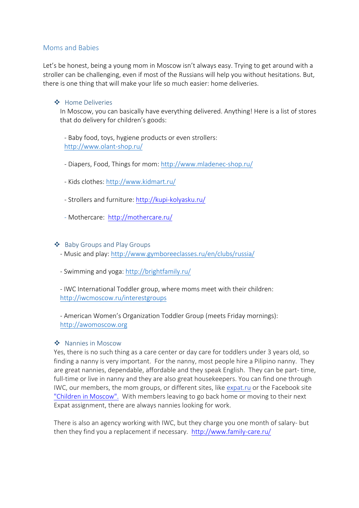#### Moms and Babies

Let's be honest, being a young mom in Moscow isn't always easy. Trying to get around with a stroller can be challenging, even if most of the Russians will help you without hesitations. But, there is one thing that will make your life so much easier: home deliveries.

#### v Home Deliveries

In Moscow, you can basically have everything delivered. Anything! Here is a list of stores that do delivery for children's goods:

- Baby food, toys, hygiene products or even strollers: http://www.olant-shop.ru/

- Diapers, Food, Things for mom: http://www.mladenec-shop.ru/
- Kids clothes: http://www.kidmart.ru/
- Strollers and furniture: http://kupi-kolyasku.ru/
- Mothercare: http://mothercare.ru/

❖ Baby Groups and Play Groups

- Music and play: http://www.gymboreeclasses.ru/en/clubs/russia/
- Swimming and yoga: http://brightfamily.ru/

- IWC International Toddler group, where moms meet with their children: http://iwcmoscow.ru/interestgroups

- American Women's Organization Toddler Group (meets Friday mornings): http://awomoscow.org

#### ❖ Nannies in Moscow

Yes, there is no such thing as a care center or day care for toddlers under 3 years old, so finding a nanny is very important. For the nanny, most people hire a Pilipino nanny. They are great nannies, dependable, affordable and they speak English. They can be part- time, full-time or live in nanny and they are also great housekeepers. You can find one through IWC, our members, the mom groups, or different sites, like expat.ru or the Facebook site "Children in Moscow". With members leaving to go back home or moving to their next Expat assignment, there are always nannies looking for work.

There is also an agency working with IWC, but they charge you one month of salary- but then they find you a replacement if necessary. http://www.family-care.ru/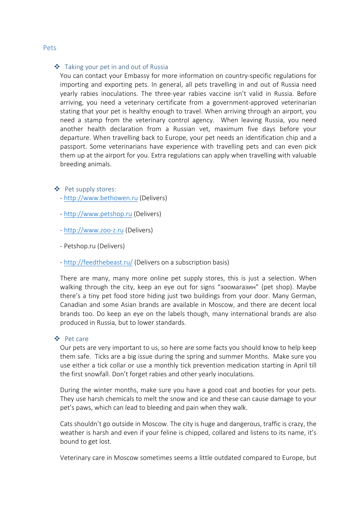#### $\triangleq$  Taking your pet in and out of Russia

You can contact your Embassy for more information on country-specific regulations for importing and exporting pets. In general, all pets travelling in and out of Russia need yearly rabies inoculations. The three-year rabies vaccine isn't valid in Russia. Before arriving, you need a veterinary certificate from a government-approved veterinarian stating that your pet is healthy enough to travel. When arriving through an airport, you need a stamp from the veterinary control agency. When leaving Russia, you need another health declaration from a Russian vet, maximum five days before your departure. When travelling back to Europe, your pet needs an identification chip and a passport. Some veterinarians have experience with travelling pets and can even pick them up at the airport for you. Extra regulations can apply when travelling with valuable breeding animals.

- ❖ Pet supply stores:
	- http://www.bethowen.ru (Delivers)
	- http://www.petshop.ru (Delivers)
	- http://www.zoo-z.ru (Delivers)
	- Petshop.ru (Delivers)
	- http://feedthebeast.ru/ (Delivers on a subscription basis)

There are many, many more online pet supply stores, this is just a selection. When walking through the city, keep an eye out for signs "зоомагазин" (pet shop). Maybe there's a tiny pet food store hiding just two buildings from your door. Many German, Canadian and some Asian brands are available in Moscow, and there are decent local brands too. Do keep an eye on the labels though, many international brands are also produced in Russia, but to lower standards.

#### v Pet care

Our pets are very important to us, so here are some facts you should know to help keep them safe. Ticks are a big issue during the spring and summer Months. Make sure you use either a tick collar or use a monthly tick prevention medication starting in April till the first snowfall. Don't forget rabies and other yearly inoculations.

During the winter months, make sure you have a good coat and booties for your pets. They use harsh chemicals to melt the snow and ice and these can cause damage to your pet's paws, which can lead to bleeding and pain when they walk.

Cats shouldn't go outside in Moscow. The city is huge and dangerous, traffic is crazy, the weather is harsh and even if your feline is chipped, collared and listens to its name, it's bound to get lost.

Veterinary care in Moscow sometimes seems a little outdated compared to Europe, but

#### Pets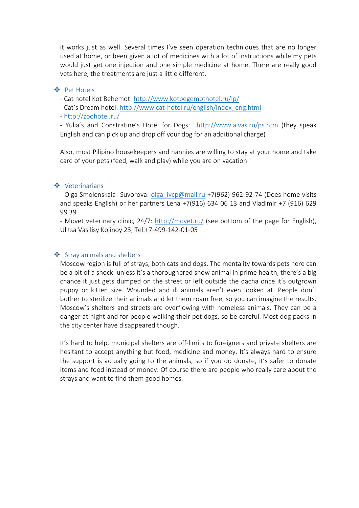it works just as well. Several times I've seen operation techniques that are no longer used at home, or been given a lot of medicines with a lot of instructions while my pets would just get one injection and one simple medicine at home. There are really good vets here, the treatments are just a little different.

#### v Pet Hotels

- Cat hotel Kot Behemot: http://www.kotbegemothotel.ru/lp/

- Cat's Dream hotel: http://www.cat-hotel.ru/english/index\_eng.html

- http://zoohotel.ru/

- Yulia's and Constratine's Hotel for Dogs: http://www.alvas.ru/ps.htm (they speak English and can pick up and drop off your dog for an additional charge)

Also, most Pilipino housekeepers and nannies are willing to stay at your home and take care of your pets (feed, walk and play) while you are on vacation.

#### ❖ Veterinarians

- Olga Smolenskaia- Suvorova: olga ivcp@mail.ru +7(962) 962-92-74 (Does home visits and speaks English) or her partners Lena +7(916) 634 06 13 and Vladimir +7 (916) 629 99 39

- Movet veterinary clinic, 24/7: http://movet.ru/ (see bottom of the page for English), Ulitsa Vasilisy Kojinoy 23, Tel.+7-499-142-01-05

## ❖ Stray animals and shelters

Moscow region is full of strays, both cats and dogs. The mentality towards pets here can be a bit of a shock: unless it's a thoroughbred show animal in prime health, there's a big chance it just gets dumped on the street or left outside the dacha once it's outgrown puppy or kitten size. Wounded and ill animals aren't even looked at. People don't bother to sterilize their animals and let them roam free, so you can imagine the results. Moscow's shelters and streets are overflowing with homeless animals. They can be a danger at night and for people walking their pet dogs, so be careful. Most dog packs in the city center have disappeared though.

It's hard to help, municipal shelters are off-limits to foreigners and private shelters are hesitant to accept anything but food, medicine and money. It's always hard to ensure the support is actually going to the animals, so if you do donate, it's safer to donate items and food instead of money. Of course there are people who really care about the strays and want to find them good homes.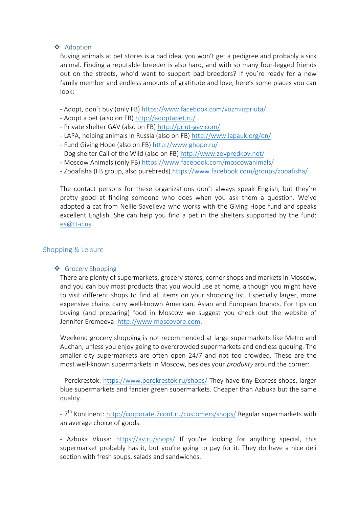#### ❖ Adoption

Buying animals at pet stores is a bad idea, you won't get a pedigree and probably a sick animal. Finding a reputable breeder is also hard, and with so many four-legged friends out on the streets, who'd want to support bad breeders? If you're ready for a new family member and endless amounts of gratitude and love, here's some places you can look:

- Adopt, don't buy (only FB) https://www.facebook.com/vozmiizpriuta/
- Adopt a pet (also on FB) http://adoptapet.ru/
- Private shelter GAV (also on FB) http://priut-gav.com/
- LAPA, helping animals in Russia (also on FB) http://www.lapauk.org/en/
- Fund Giving Hope (also on FB) http://www.ghope.ru/
- Dog shelter Call of the Wild (also on FB) http://www.zovpredkov.net/
- Moscow Animals (only FB) https://www.facebook.com/moscowanimals/
- Zooafisha (FB group, also purebreds) https://www.facebook.com/groups/zooafisha/

The contact persons for these organizations don't always speak English, but they're pretty good at finding someone who does when you ask them a question. We've adopted a cat from Nellie Savelieva who works with the Giving Hope fund and speaks excellent English. She can help you find a pet in the shelters supported by the fund: es@tt-c.us

## Shopping & Leisure

## ❖ Grocery Shopping

There are plenty of supermarkets, grocery stores, corner shops and markets in Moscow, and you can buy most products that you would use at home, although you might have to visit different shops to find all items on your shopping list. Especially larger, more expensive chains carry well-known American, Asian and European brands. For tips on buying (and preparing) food in Moscow we suggest you check out the website of Jennifer Eremeeva: http://www.moscovore.com.

Weekend grocery shopping is not recommended at large supermarkets like Metro and Auchan, unless you enjoy going to overcrowded supermarkets and endless queuing. The smaller city supermarkets are often open 24/7 and not too crowded. These are the most well-known supermarkets in Moscow, besides your *produkty* around the corner:

- Perekrestok: https://www.perekrestok.ru/shops/ They have tiny Express shops, larger blue supermarkets and fancier green supermarkets. Cheaper than Azbuka but the same quality.

- 7<sup>th</sup> Kontinent: http://corporate.7cont.ru/customers/shops/ Regular supermarkets with an average choice of goods.

- Azbuka Vkusa: https://av.ru/shops/ If you're looking for anything special, this supermarket probably has it, but you're going to pay for it. They do have a nice deli section with fresh soups, salads and sandwiches.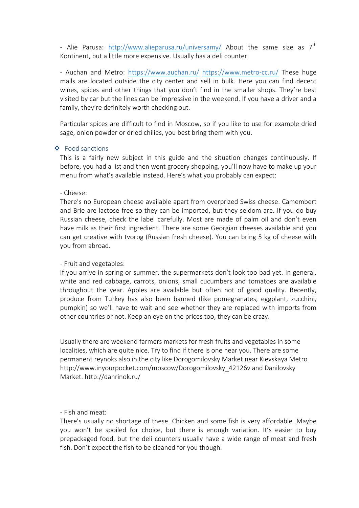- Alie Parusa: http://www.alieparusa.ru/universamy/ About the same size as  $7^{th}$ Kontinent, but a little more expensive. Usually has a deli counter.

- Auchan and Metro: https://www.auchan.ru/ https://www.metro-cc.ru/ These huge malls are located outside the city center and sell in bulk. Here you can find decent wines, spices and other things that you don't find in the smaller shops. They're best visited by car but the lines can be impressive in the weekend. If you have a driver and a family, they're definitely worth checking out.

Particular spices are difficult to find in Moscow, so if you like to use for example dried sage, onion powder or dried chilies, you best bring them with you.

#### ❖ Food sanctions

This is a fairly new subject in this guide and the situation changes continuously. If before, you had a list and then went grocery shopping, you'll now have to make up your menu from what's available instead. Here's what you probably can expect:

#### - Cheese:

There's no European cheese available apart from overprized Swiss cheese. Camembert and Brie are lactose free so they can be imported, but they seldom are. If you do buy Russian cheese, check the label carefully. Most are made of palm oil and don't even have milk as their first ingredient. There are some Georgian cheeses available and you can get creative with tvorog (Russian fresh cheese). You can bring 5 kg of cheese with you from abroad.

#### - Fruit and vegetables:

If you arrive in spring or summer, the supermarkets don't look too bad yet. In general, white and red cabbage, carrots, onions, small cucumbers and tomatoes are available throughout the year. Apples are available but often not of good quality. Recently, produce from Turkey has also been banned (like pomegranates, eggplant, zucchini, pumpkin) so we'll have to wait and see whether they are replaced with imports from other countries or not. Keep an eye on the prices too, they can be crazy.

Usually there are weekend farmers markets for fresh fruits and vegetables in some localities, which are quite nice. Try to find if there is one near you. There are some permanent reynoks also in the city like Dorogomilovsky Market near Kievskaya Metro http://www.inyourpocket.com/moscow/Dorogomilovsky\_42126v and Danilovsky Market. http://danrinok.ru/

#### - Fish and meat:

There's usually no shortage of these. Chicken and some fish is very affordable. Maybe you won't be spoiled for choice, but there is enough variation. It's easier to buy prepackaged food, but the deli counters usually have a wide range of meat and fresh fish. Don't expect the fish to be cleaned for you though.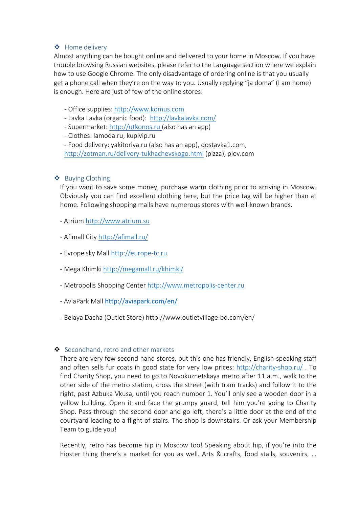## v Home delivery

Almost anything can be bought online and delivered to your home in Moscow. If you have trouble browsing Russian websites, please refer to the Language section where we explain how to use Google Chrome. The only disadvantage of ordering online is that you usually get a phone call when they're on the way to you. Usually replying "ja doma" (I am home) is enough. Here are just of few of the online stores:

- Office supplies: http://www.komus.com
- Lavka Lavka (organic food): http://lavkalavka.com/
- Supermarket: http://utkonos.ru (also has an app)
- Clothes: lamoda.ru, kupivip.ru
- Food delivery: yakitoriya.ru (also has an app), dostavka1.com,

http://zotman.ru/delivery-tukhachevskogo.html (pizza), plov.com

#### $\triangle$  Buying Clothing

If you want to save some money, purchase warm clothing prior to arriving in Moscow. Obviously you can find excellent clothing here, but the price tag will be higher than at home. Following shopping malls have numerous stores with well-known brands.

- Atrium http://www.atrium.su
- Afimall City http://afimall.ru/
- Evropeisky Mall http://europe-tc.ru
- Mega Khimki http://megamall.ru/khimki/
- Metropolis Shopping Center http://www.metropolis-center.ru
- AviaPark Mall http://aviapark.com/en/
- Belaya Dacha (Outlet Store) http://www.outletvillage-bd.com/en/

## Secondhand, retro and other markets

There are very few second hand stores, but this one has friendly, English-speaking staff and often sells fur coats in good state for very low prices: http://charity-shop.ru/ . To find Charity Shop, you need to go to Novokuznetskaya metro after 11 a.m., walk to the other side of the metro station, cross the street (with tram tracks) and follow it to the right, past Azbuka Vkusa, until you reach number 1. You'll only see a wooden door in a yellow building. Open it and face the grumpy guard, tell him you're going to Charity Shop. Pass through the second door and go left, there's a little door at the end of the courtyard leading to a flight of stairs. The shop is downstairs. Or ask your Membership Team to guide you!

Recently, retro has become hip in Moscow too! Speaking about hip, if you're into the hipster thing there's a market for you as well. Arts & crafts, food stalls, souvenirs, …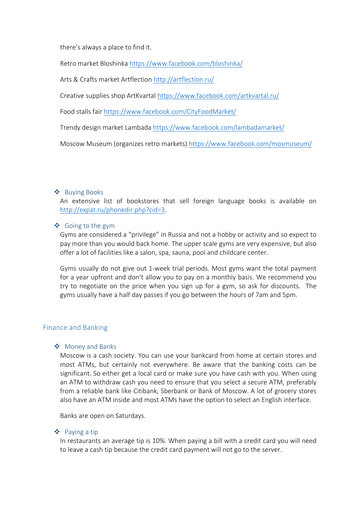there's always a place to find it.

Retro market Bloshinka https://www.facebook.com/bloshinka/

Arts & Crafts market Artflection http://artflection.ru/

Creative supplies shop ArtKvartal https://www.facebook.com/artkvartal.ru/

Food stalls fair https://www.facebook.com/CityFoodMarket/

Trendy design market Lambada https://www.facebook.com/lambadamarket/

Moscow Museum (organizes retro markets) https://www.facebook.com/mosmuseum/

#### ❖ Buying Books

An extensive list of bookstores that sell foreign language books is available on http://expat.ru/phonedir.php?cid=3.

#### $\triangleleft$  Going to the gym

Gyms are considered a "privilege" in Russia and not a hobby or activity and so expect to pay more than you would back home. The upper scale gyms are very expensive, but also offer a lot of facilities like a salon, spa, sauna, pool and childcare center.

Gyms usually do not give out 1-week trial periods. Most gyms want the total payment for a year upfront and don't allow you to pay on a monthly basis. We recommend you try to negotiate on the price when you sign up for a gym, so ask for discounts. The gyms usually have a half day passes if you go between the hours of 7am and 5pm.

#### Finance and Banking

#### ❖ Money and Banks

Moscow is a cash society. You can use your bankcard from home at certain stores and most ATMs, but certainly not everywhere. Be aware that the banking costs can be significant. So either get a local card or make sure you have cash with you. When using an ATM to withdraw cash you need to ensure that you select a secure ATM, preferably from a reliable bank like Citibank, Sberbank or Bank of Moscow. A lot of grocery stores also have an ATM inside and most ATMs have the option to select an English interface.

Banks are open on Saturdays.

#### ❖ Paying a tip

In restaurants an average tip is 10%. When paying a bill with a credit card you will need to leave a cash tip because the credit card payment will not go to the server.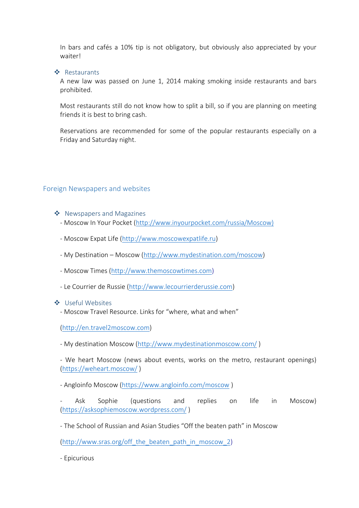In bars and cafés a 10% tip is not obligatory, but obviously also appreciated by your waiter!

❖ Restaurants

A new law was passed on June 1, 2014 making smoking inside restaurants and bars prohibited.

Most restaurants still do not know how to split a bill, so if you are planning on meeting friends it is best to bring cash.

Reservations are recommended for some of the popular restaurants especially on a Friday and Saturday night.

## Foreign Newspapers and websites

- $\clubsuit$  Newspapers and Magazines
	- Moscow In Your Pocket (http://www.inyourpocket.com/russia/Moscow)
	- Moscow Expat Life (http://www.moscowexpatlife.ru)
	- My Destination Moscow (http://www.mydestination.com/moscow)
	- Moscow Times (http://www.themoscowtimes.com)
	- Le Courrier de Russie (http://www.lecourrierderussie.com)

#### ❖ Useful Websites

- Moscow Travel Resource. Links for "where, what and when"

(http://en.travel2moscow.com)

- My destination Moscow (http://www.mydestinationmoscow.com/ )

- We heart Moscow (news about events, works on the metro, restaurant openings) (https://weheart.moscow/ )

- Angloinfo Moscow (https://www.angloinfo.com/moscow )

Ask Sophie (questions and replies on life in Moscow) (https://asksophiemoscow.wordpress.com/ )

- The School of Russian and Asian Studies "Off the beaten path" in Moscow

(http://www.sras.org/off\_the\_beaten\_path\_in\_moscow\_2)

- Epicurious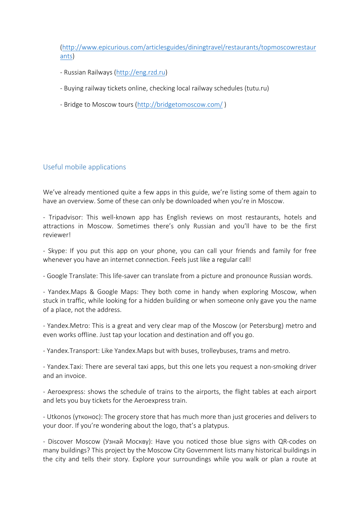(http://www.epicurious.com/articlesguides/diningtravel/restaurants/topmoscowrestaur ants)

- Russian Railways (http://eng.rzd.ru)
- Buying railway tickets online, checking local railway schedules (tutu.ru)
- Bridge to Moscow tours (http://bridgetomoscow.com/ )

#### Useful mobile applications

We've already mentioned quite a few apps in this guide, we're listing some of them again to have an overview. Some of these can only be downloaded when you're in Moscow.

- Tripadvisor: This well-known app has English reviews on most restaurants, hotels and attractions in Moscow. Sometimes there's only Russian and you'll have to be the first reviewer!

- Skype: If you put this app on your phone, you can call your friends and family for free whenever you have an internet connection. Feels just like a regular call!

- Google Translate: This life-saver can translate from a picture and pronounce Russian words.

- Yandex.Maps & Google Maps: They both come in handy when exploring Moscow, when stuck in traffic, while looking for a hidden building or when someone only gave you the name of a place, not the address.

- Yandex.Metro: This is a great and very clear map of the Moscow (or Petersburg) metro and even works offline. Just tap your location and destination and off you go.

- Yandex.Transport: Like Yandex.Maps but with buses, trolleybuses, trams and metro.

- Yandex.Taxi: There are several taxi apps, but this one lets you request a non-smoking driver and an invoice.

- Aeroexpress: shows the schedule of trains to the airports, the flight tables at each airport and lets you buy tickets for the Aeroexpress train.

- Utkonos (утконос): The grocery store that has much more than just groceries and delivers to your door. If you're wondering about the logo, that's a platypus.

- Discover Moscow (Узнай Москву): Have you noticed those blue signs with QR-codes on many buildings? This project by the Moscow City Government lists many historical buildings in the city and tells their story. Explore your surroundings while you walk or plan a route at